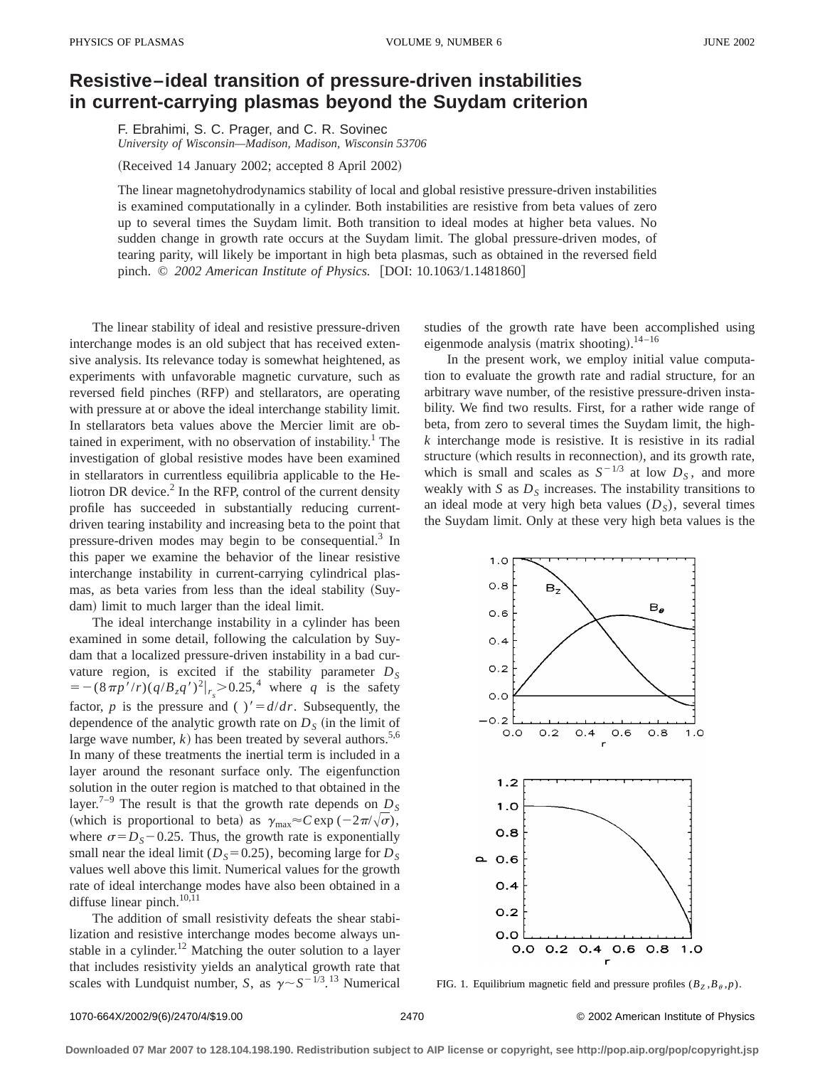## **Resistive–ideal transition of pressure-driven instabilities in current-carrying plasmas beyond the Suydam criterion**

F. Ebrahimi, S. C. Prager, and C. R. Sovinec *University of Wisconsin—Madison, Madison, Wisconsin 53706*

 $(Received 14 January 2002; accepted 8 April 2002)$ 

The linear magnetohydrodynamics stability of local and global resistive pressure-driven instabilities is examined computationally in a cylinder. Both instabilities are resistive from beta values of zero up to several times the Suydam limit. Both transition to ideal modes at higher beta values. No sudden change in growth rate occurs at the Suydam limit. The global pressure-driven modes, of tearing parity, will likely be important in high beta plasmas, such as obtained in the reversed field pinch. © 2002 American Institute of Physics. [DOI: 10.1063/1.1481860]

The linear stability of ideal and resistive pressure-driven interchange modes is an old subject that has received extensive analysis. Its relevance today is somewhat heightened, as experiments with unfavorable magnetic curvature, such as reversed field pinches (RFP) and stellarators, are operating with pressure at or above the ideal interchange stability limit. In stellarators beta values above the Mercier limit are obtained in experiment, with no observation of instability.<sup>1</sup> The investigation of global resistive modes have been examined in stellarators in currentless equilibria applicable to the Heliotron DR device. $<sup>2</sup>$  In the RFP, control of the current density</sup> profile has succeeded in substantially reducing currentdriven tearing instability and increasing beta to the point that pressure-driven modes may begin to be consequential.<sup>3</sup> In this paper we examine the behavior of the linear resistive interchange instability in current-carrying cylindrical plasmas, as beta varies from less than the ideal stability (Suydam) limit to much larger than the ideal limit.

The ideal interchange instability in a cylinder has been examined in some detail, following the calculation by Suydam that a localized pressure-driven instability in a bad curvature region, is excited if the stability parameter  $D<sub>S</sub>$  $=-(8\pi p'/r)(q/B_zq')^2|_{r_s}>0.25,^4$  where *q* is the safety factor, *p* is the pressure and ( )' =  $d/dr$ . Subsequently, the dependence of the analytic growth rate on  $D<sub>S</sub>$  (in the limit of large wave number,  $k$ ) has been treated by several authors.<sup>5,6</sup> In many of these treatments the inertial term is included in a layer around the resonant surface only. The eigenfunction solution in the outer region is matched to that obtained in the layer.<sup>7–9</sup> The result is that the growth rate depends on  $D<sub>S</sub>$ (which is proportional to beta) as  $\gamma_{\text{max}} \approx C \exp(-2\pi/\sqrt{\sigma})$ , where  $\sigma = D_s - 0.25$ . Thus, the growth rate is exponentially small near the ideal limit ( $D<sub>S</sub>=0.25$ ), becoming large for  $D<sub>S</sub>$ values well above this limit. Numerical values for the growth rate of ideal interchange modes have also been obtained in a diffuse linear pinch.<sup>10,11</sup>

The addition of small resistivity defeats the shear stabilization and resistive interchange modes become always unstable in a cylinder.<sup>12</sup> Matching the outer solution to a layer that includes resistivity yields an analytical growth rate that scales with Lundquist number, *S*, as  $\gamma \sim S^{-1/3}$ .<sup>13</sup> Numerical studies of the growth rate have been accomplished using eigenmode analysis (matrix shooting).<sup>14-16</sup>

In the present work, we employ initial value computation to evaluate the growth rate and radial structure, for an arbitrary wave number, of the resistive pressure-driven instability. We find two results. First, for a rather wide range of beta, from zero to several times the Suydam limit, the high*k* interchange mode is resistive. It is resistive in its radial structure (which results in reconnection), and its growth rate, which is small and scales as  $S^{-1/3}$  at low  $D_S$ , and more weakly with  $S$  as  $D<sub>S</sub>$  increases. The instability transitions to an ideal mode at very high beta values  $(D<sub>S</sub>)$ , several times the Suydam limit. Only at these very high beta values is the



FIG. 1. Equilibrium magnetic field and pressure profiles  $(B_Z, B_\theta, p)$ .

1070-664X/2002/9(6)/2470/4/\$19.00 © 2002 American Institute of Physics 2470

**Downloaded 07 Mar 2007 to 128.104.198.190. Redistribution subject to AIP license or copyright, see http://pop.aip.org/pop/copyright.jsp**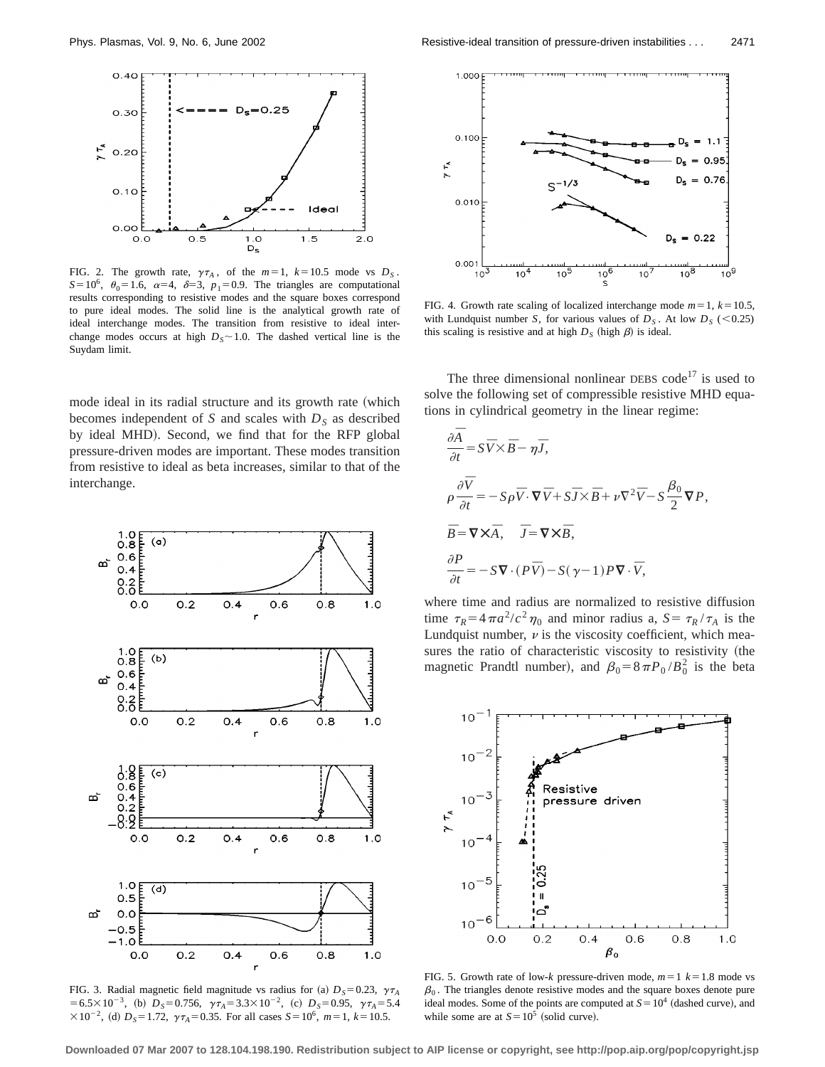

FIG. 2. The growth rate,  $\gamma \tau_A$ , of the  $m=1$ ,  $k=10.5$  mode vs  $D_S$ .  $S=10^6$ ,  $\theta_0=1.6$ ,  $\alpha=4$ ,  $\delta=3$ ,  $p_1=0.9$ . The triangles are computational results corresponding to resistive modes and the square boxes correspond to pure ideal modes. The solid line is the analytical growth rate of ideal interchange modes. The transition from resistive to ideal interchange modes occurs at high  $D_s \sim 1.0$ . The dashed vertical line is the Suydam limit.

mode ideal in its radial structure and its growth rate (which becomes independent of *S* and scales with  $D<sub>S</sub>$  as described by ideal MHD). Second, we find that for the RFP global pressure-driven modes are important. These modes transition from resistive to ideal as beta increases, similar to that of the interchange.



FIG. 3. Radial magnetic field magnitude vs radius for (a)  $D_s = 0.23$ ,  $\gamma \tau_A$  $=6.5\times10^{-3}$ , (b)  $D_s=0.756$ ,  $\gamma\tau_A=3.3\times10^{-2}$ , (c)  $D_s=0.95$ ,  $\gamma\tau_A=5.4$  $\times 10^{-2}$ , (d)  $D_s = 1.72$ ,  $\gamma \tau_A = 0.35$ . For all cases  $S = 10^6$ ,  $m = 1$ ,  $k = 10.5$ .



FIG. 4. Growth rate scaling of localized interchange mode  $m=1$ ,  $k=10.5$ , with Lundquist number *S*, for various values of  $D<sub>S</sub>$ . At low  $D<sub>S</sub>$  (<0.25) this scaling is resistive and at high  $D_S$  (high  $\beta$ ) is ideal.

The three dimensional nonlinear DEBS code<sup>17</sup> is used to solve the following set of compressible resistive MHD equations in cylindrical geometry in the linear regime:

$$
\frac{\partial \overline{A}}{\partial t} = S\overline{V} \times \overline{B} - \eta \overline{J},
$$
  
\n
$$
\rho \frac{\partial \overline{V}}{\partial t} = -S\rho \overline{V} \cdot \nabla \overline{V} + S\overline{J} \times \overline{B} + \nu \nabla^2 \overline{V} - S\frac{\beta_0}{2} \nabla P,
$$
  
\n
$$
\overline{B} = \nabla \times \overline{A}, \quad \overline{J} = \nabla \times \overline{B},
$$
  
\n
$$
\frac{\partial P}{\partial t} = -S\nabla \cdot (P\overline{V}) - S(\gamma - 1)P\nabla \cdot \overline{V},
$$

where time and radius are normalized to resistive diffusion time  $\tau_R = 4\pi a^2/c^2 \eta_0$  and minor radius a,  $S = \tau_R / \tau_A$  is the Lundquist number,  $\nu$  is the viscosity coefficient, which measures the ratio of characteristic viscosity to resistivity (the magnetic Prandtl number), and  $\beta_0 = 8 \pi P_0 / B_0^2$  is the beta



FIG. 5. Growth rate of low- $k$  pressure-driven mode,  $m=1$   $k=1.8$  mode vs  $\beta_0$ . The triangles denote resistive modes and the square boxes denote pure ideal modes. Some of the points are computed at  $S=10^4$  (dashed curve), and while some are at  $S=10^5$  (solid curve).

**Downloaded 07 Mar 2007 to 128.104.198.190. Redistribution subject to AIP license or copyright, see http://pop.aip.org/pop/copyright.jsp**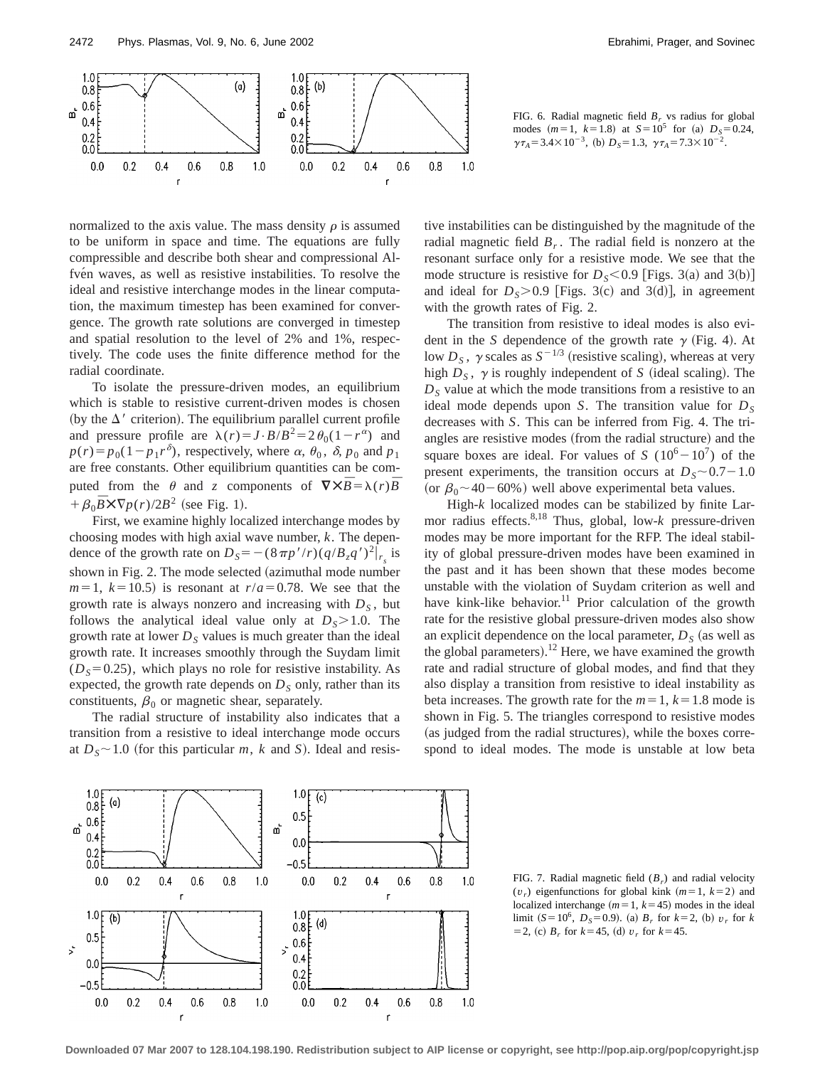

FIG. 6. Radial magnetic field  $B_r$  vs radius for global modes  $(m=1, k=1.8)$  at  $S=10^5$  for (a)  $D_s=0.24$ ,  $\gamma \tau_A = 3.4 \times 10^{-3}$ , (b)  $D_s = 1.3$ ,  $\gamma \tau_A = 7.3 \times 10^{-2}$ .

normalized to the axis value. The mass density  $\rho$  is assumed to be uniform in space and time. The equations are fully compressible and describe both shear and compressional Alfvén waves, as well as resistive instabilities. To resolve the ideal and resistive interchange modes in the linear computation, the maximum timestep has been examined for convergence. The growth rate solutions are converged in timestep and spatial resolution to the level of 2% and 1%, respectively. The code uses the finite difference method for the radial coordinate.

To isolate the pressure-driven modes, an equilibrium which is stable to resistive current-driven modes is chosen (by the  $\Delta'$  criterion). The equilibrium parallel current profile and pressure profile are  $\lambda(r) = J \cdot B/B^2 = 2 \theta_0 (1 - r^{\alpha})$  and  $p(r) = p_0(1-p_1 r^{\delta})$ , respectively, where  $\alpha$ ,  $\theta_0$ ,  $\delta$ ,  $p_0$  and  $p_1$ are free constants. Other equilibrium quantities can be computed from the  $\theta$  and *z* components of  $\nabla \times \overline{B} = \lambda(r) \overline{B}$  $+\beta_0 \bar{B} \times \nabla p(r)/2B^2$  (see Fig. 1).

First, we examine highly localized interchange modes by choosing modes with high axial wave number, *k*. The dependence of the growth rate on  $D_s = -(8\pi p'/r)(q/B_zq')^2|_{r_s}$  is shown in Fig. 2. The mode selected (azimuthal mode number  $m=1$ ,  $k=10.5$ ) is resonant at  $r/a=0.78$ . We see that the growth rate is always nonzero and increasing with  $D<sub>S</sub>$ , but follows the analytical ideal value only at  $D_s > 1.0$ . The growth rate at lower  $D<sub>S</sub>$  values is much greater than the ideal growth rate. It increases smoothly through the Suydam limit  $(D<sub>S</sub>=0.25)$ , which plays no role for resistive instability. As expected, the growth rate depends on  $D<sub>S</sub>$  only, rather than its constituents,  $\beta_0$  or magnetic shear, separately.

The radial structure of instability also indicates that a transition from a resistive to ideal interchange mode occurs at  $D_s \sim 1.0$  (for this particular *m*, *k* and *S*). Ideal and resistive instabilities can be distinguished by the magnitude of the radial magnetic field  $B_r$ . The radial field is nonzero at the resonant surface only for a resistive mode. We see that the mode structure is resistive for  $D_s < 0.9$  [Figs. 3(a) and 3(b)] and ideal for  $D_s > 0.9$  [Figs. 3(c) and 3(d)], in agreement with the growth rates of Fig. 2.

The transition from resistive to ideal modes is also evident in the *S* dependence of the growth rate  $\gamma$  (Fig. 4). At low  $D_s$ ,  $\gamma$  scales as  $S^{-1/3}$  (resistive scaling), whereas at very high  $D<sub>S</sub>$ ,  $\gamma$  is roughly independent of *S* (ideal scaling). The  $D<sub>S</sub>$  value at which the mode transitions from a resistive to an ideal mode depends upon *S*. The transition value for  $D<sub>S</sub>$ decreases with *S*. This can be inferred from Fig. 4. The triangles are resistive modes (from the radial structure) and the square boxes are ideal. For values of *S* ( $10^6 - 10^7$ ) of the present experiments, the transition occurs at  $D_s \sim 0.7-1.0$ (or  $\beta_0$  ~ 40 – 60%) well above experimental beta values.

High-*k* localized modes can be stabilized by finite Larmor radius effects.8,18 Thus, global, low-*k* pressure-driven modes may be more important for the RFP. The ideal stability of global pressure-driven modes have been examined in the past and it has been shown that these modes become unstable with the violation of Suydam criterion as well and have kink-like behavior.<sup>11</sup> Prior calculation of the growth rate for the resistive global pressure-driven modes also show an explicit dependence on the local parameter,  $D<sub>S</sub>$  (as well as the global parameters).<sup>12</sup> Here, we have examined the growth rate and radial structure of global modes, and find that they also display a transition from resistive to ideal instability as beta increases. The growth rate for the  $m=1$ ,  $k=1.8$  mode is shown in Fig. 5. The triangles correspond to resistive modes (as judged from the radial structures), while the boxes correspond to ideal modes. The mode is unstable at low beta



FIG. 7. Radial magnetic field (*Br*) and radial velocity  $(v_r)$  eigenfunctions for global kink  $(m=1, k=2)$  and localized interchange  $(m=1, k=45)$  modes in the ideal limit  $(S=10^6, D_s=0.9)$ . (a)  $B_r$  for  $k=2$ , (b)  $v_r$  for  $k$  $=$  2, (c)  $B_r$  for  $k=$  45, (d)  $v_r$  for  $k=$  45.

**Downloaded 07 Mar 2007 to 128.104.198.190. Redistribution subject to AIP license or copyright, see http://pop.aip.org/pop/copyright.jsp**